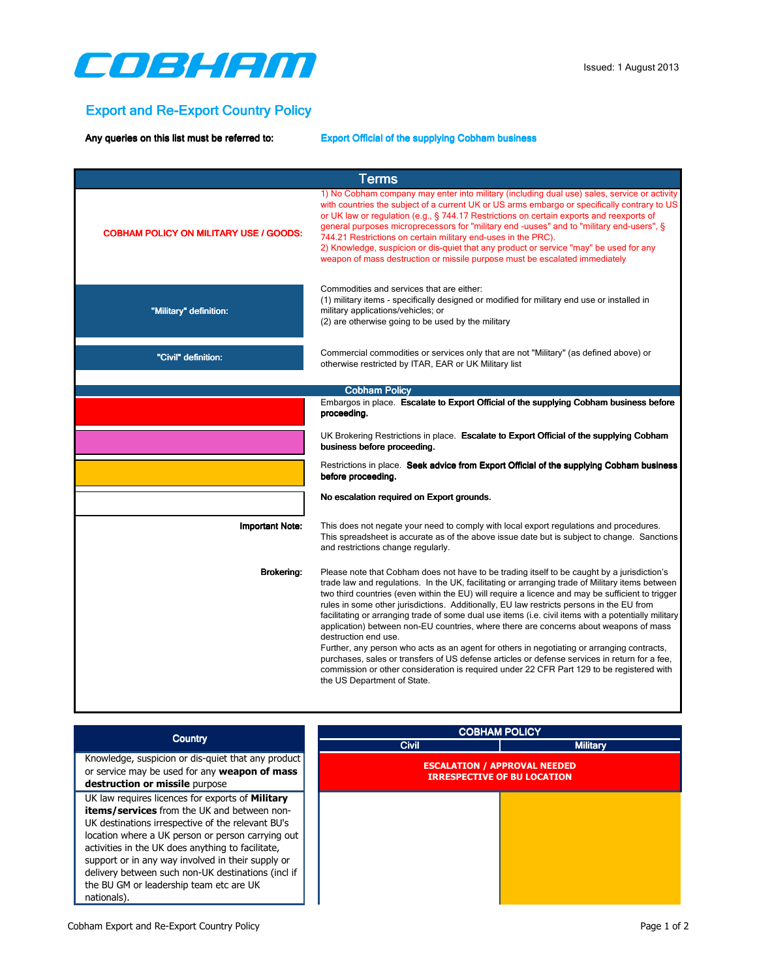

## Export and Re-Export Country Policy

Any queries on this list must be referred to: Export Official of the supplying Cobham business

| <b>Terms</b>                                  |                                                                                                                                                                                                                                                                                                                                                                                                                                                                                                                                                                                                                                                                                                                                                                                                                                                                                                                                                    |
|-----------------------------------------------|----------------------------------------------------------------------------------------------------------------------------------------------------------------------------------------------------------------------------------------------------------------------------------------------------------------------------------------------------------------------------------------------------------------------------------------------------------------------------------------------------------------------------------------------------------------------------------------------------------------------------------------------------------------------------------------------------------------------------------------------------------------------------------------------------------------------------------------------------------------------------------------------------------------------------------------------------|
| <b>COBHAM POLICY ON MILITARY USE / GOODS:</b> | 1) No Cobham company may enter into military (including dual use) sales, service or activity<br>with countries the subject of a current UK or US arms embargo or specifically contrary to US<br>or UK law or regulation (e.g., § 744.17 Restrictions on certain exports and reexports of<br>general purposes microprecessors for "military end -uuses" and to "military end-users", §<br>744.21 Restrictions on certain military end-uses in the PRC).<br>2) Knowledge, suspicion or dis-quiet that any product or service "may" be used for any<br>weapon of mass destruction or missile purpose must be escalated immediately                                                                                                                                                                                                                                                                                                                    |
| "Military" definition:                        | Commodities and services that are either:<br>(1) military items - specifically designed or modified for military end use or installed in<br>military applications/vehicles; or<br>(2) are otherwise going to be used by the military                                                                                                                                                                                                                                                                                                                                                                                                                                                                                                                                                                                                                                                                                                               |
| "Civil" definition:                           | Commercial commodities or services only that are not "Military" (as defined above) or<br>otherwise restricted by ITAR, EAR or UK Military list                                                                                                                                                                                                                                                                                                                                                                                                                                                                                                                                                                                                                                                                                                                                                                                                     |
|                                               | <b>Cobham Policy</b>                                                                                                                                                                                                                                                                                                                                                                                                                                                                                                                                                                                                                                                                                                                                                                                                                                                                                                                               |
|                                               | Embargos in place. Escalate to Export Official of the supplying Cobham business before<br>proceeding.                                                                                                                                                                                                                                                                                                                                                                                                                                                                                                                                                                                                                                                                                                                                                                                                                                              |
|                                               | UK Brokering Restrictions in place. Escalate to Export Official of the supplying Cobham<br>business before proceeding.                                                                                                                                                                                                                                                                                                                                                                                                                                                                                                                                                                                                                                                                                                                                                                                                                             |
|                                               | Restrictions in place. Seek advice from Export Official of the supplying Cobham business<br>before proceeding.                                                                                                                                                                                                                                                                                                                                                                                                                                                                                                                                                                                                                                                                                                                                                                                                                                     |
|                                               | No escalation required on Export grounds.                                                                                                                                                                                                                                                                                                                                                                                                                                                                                                                                                                                                                                                                                                                                                                                                                                                                                                          |
| <b>Important Note:</b>                        | This does not negate your need to comply with local export regulations and procedures.<br>This spreadsheet is accurate as of the above issue date but is subject to change. Sanctions<br>and restrictions change regularly.                                                                                                                                                                                                                                                                                                                                                                                                                                                                                                                                                                                                                                                                                                                        |
| <b>Brokering:</b>                             | Please note that Cobham does not have to be trading itself to be caught by a jurisdiction's<br>trade law and regulations. In the UK, facilitating or arranging trade of Military items between<br>two third countries (even within the EU) will require a licence and may be sufficient to trigger<br>rules in some other jurisdictions. Additionally, EU law restricts persons in the EU from<br>facilitating or arranging trade of some dual use items (i.e. civil items with a potentially military<br>application) between non-EU countries, where there are concerns about weapons of mass<br>destruction end use.<br>Further, any person who acts as an agent for others in negotiating or arranging contracts,<br>purchases, sales or transfers of US defense articles or defense services in return for a fee,<br>commission or other consideration is required under 22 CFR Part 129 to be registered with<br>the US Department of State. |
|                                               |                                                                                                                                                                                                                                                                                                                                                                                                                                                                                                                                                                                                                                                                                                                                                                                                                                                                                                                                                    |